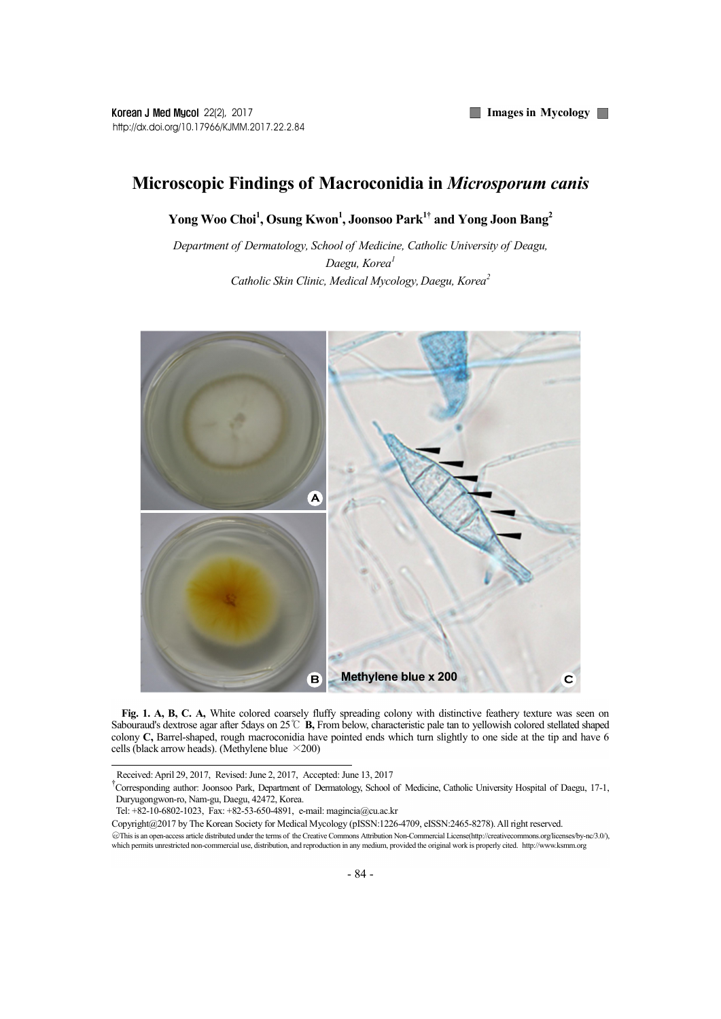## Microscopic Findings of Macroconidia in Microsporum canis

Yong Woo Choi<sup>1</sup>, Osung Kwon<sup>1</sup>, Joonsoo Park<sup>1†</sup> and Yong Joon Bang<sup>2</sup>

Department of Dermatology, School of Medicine, Catholic University of Deagu, Daegu, Korea<sup>1</sup> Catholic Skin Clinic, Medical Mycology, Daegu, Korea<sup>2</sup>



Fig. 1. A, B, C. A, White colored coarsely fluffy spreading colony with distinctive feathery texture was seen on Sabouraud's dextrose agar after 5days on 25℃ B, From below, characteristic pale tan to yellowish colored stellated shaped colony C, Barrel-shaped, rough macroconidia have pointed ends which turn slightly to one side at the tip and have 6 cells (black arrow heads). (Methylene blue  $\times$ 200)

Received: April 29, 2017, Revised: June 2, 2017, Accepted: June 13, 2017

<sup>†</sup>Corresponding author: Joonsoo Park, Department of Dermatology, School of Medicine, Catholic University Hospital of Daegu, 17-1, Duryugongwon-ro, Nam-gu, Daegu, 42472, Korea.

Tel: +82-10-6802-1023, Fax: +82-53-650-4891, e-mail: magincia@cu.ac.kr

Copyright@2017 by The Korean Society for Medical Mycology (pISSN:1226-4709, eISSN:2465-8278). All right reserved.

<sup>○</sup>cc This is an open-access article distributed under the terms of the Creative Commons Attribution Non-Commercial License(http://creativecommons.org/licenses/by-nc/3.0/), which permits unrestricted non-commercial use, distribution, and reproduction in any medium, provided the original work is properly cited. http://www.ksmm.org